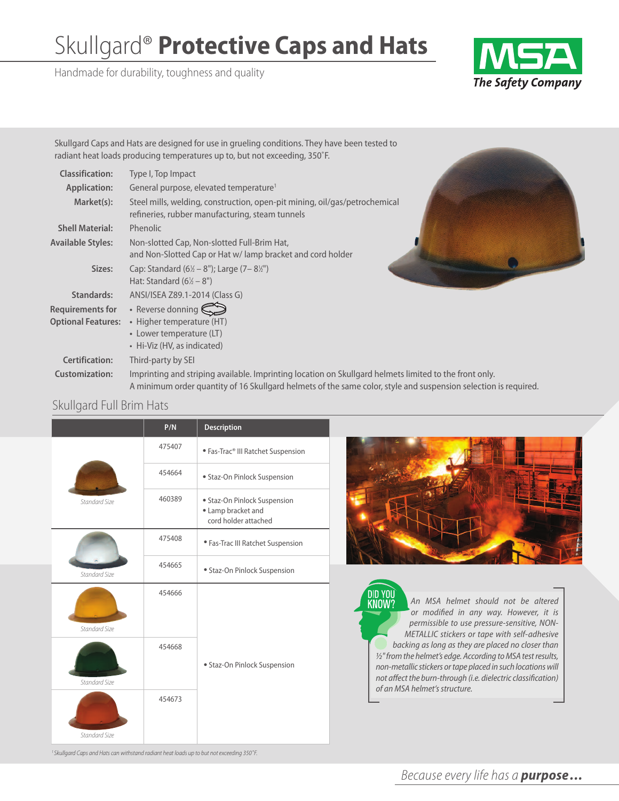# Skullgard® **Protective Caps and Hats**

Handmade for durability, toughness and quality



Skullgard Caps and Hats are designed for use in grueling conditions. They have been tested to radiant heat loads producing temperatures up to, but not exceeding, 350˚F.

| <b>Classification:</b>    | Type I, Top Impact                                                                                                                                                                                                        |  |
|---------------------------|---------------------------------------------------------------------------------------------------------------------------------------------------------------------------------------------------------------------------|--|
| <b>Application:</b>       | General purpose, elevated temperature <sup>1</sup>                                                                                                                                                                        |  |
| Market(s):                | Steel mills, welding, construction, open-pit mining, oil/gas/petrochemical<br>refineries, rubber manufacturing, steam tunnels                                                                                             |  |
| <b>Shell Material:</b>    | Phenolic                                                                                                                                                                                                                  |  |
| <b>Available Styles:</b>  | Non-slotted Cap, Non-slotted Full-Brim Hat,<br>and Non-Slotted Cap or Hat w/ lamp bracket and cord holder                                                                                                                 |  |
| Sizes:                    | Cap: Standard $(6\frac{1}{2} - 8'')$ ; Large $(7 - 8\frac{1}{2})'$<br>Hat: Standard $(6\frac{1}{2} - 8")$                                                                                                                 |  |
| Standards:                | ANSI/ISEA Z89.1-2014 (Class G)                                                                                                                                                                                            |  |
| <b>Requirements for</b>   | • Reverse donning $\bigotimes$                                                                                                                                                                                            |  |
| <b>Optional Features:</b> | • Higher temperature (HT)                                                                                                                                                                                                 |  |
|                           | • Lower temperature (LT)<br>• Hi-Viz (HV, as indicated)                                                                                                                                                                   |  |
| <b>Certification:</b>     | Third-party by SEI                                                                                                                                                                                                        |  |
| <b>Customization:</b>     | Imprinting and striping available. Imprinting location on Skullgard helmets limited to the front only.<br>A minimum order quantity of 16 Skullgard helmets of the same color, style and suspension selection is required. |  |



### Skullgard Full Brim Hats

|               | P/N    | <b>Description</b>                                                         |  |
|---------------|--------|----------------------------------------------------------------------------|--|
|               | 475407 | · Fas-Trac® III Ratchet Suspension                                         |  |
|               | 454664 | · Staz-On Pinlock Suspension                                               |  |
| Standard Size | 460389 | • Staz-On Pinlock Suspension<br>• Lamp bracket and<br>cord holder attached |  |
|               | 475408 | • Fas-Trac III Ratchet Suspension                                          |  |
| Standard Size | 454665 | · Staz-On Pinlock Suspension                                               |  |
| Standard Size | 454666 | · Staz-On Pinlock Suspension                                               |  |
| Standard Size | 454668 |                                                                            |  |
|               | 454673 |                                                                            |  |
| Standard Size |        |                                                                            |  |

<sup>1</sup> Skullgard Caps and Hats can withstand radiant heat loads up to but not exceeding 350°F.